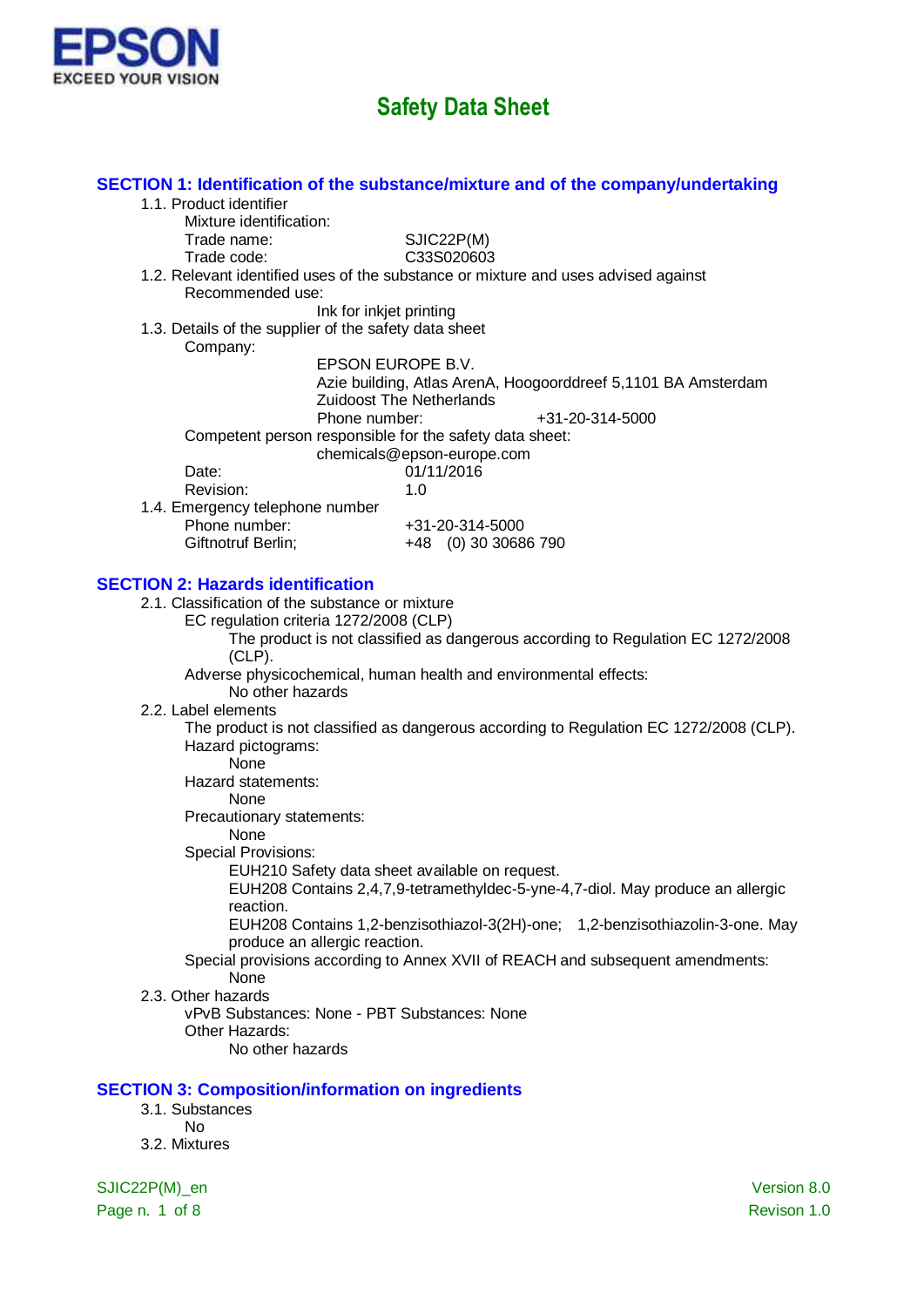

|                                                                                           | SECTION 1: Identification of the substance/mixture and of the company/undertaking      |
|-------------------------------------------------------------------------------------------|----------------------------------------------------------------------------------------|
| 1.1. Product identifier                                                                   |                                                                                        |
| Mixture identification:                                                                   |                                                                                        |
| Trade name:                                                                               | SJIC22P(M)                                                                             |
| Trade code:                                                                               | C33S020603                                                                             |
|                                                                                           | 1.2. Relevant identified uses of the substance or mixture and uses advised against     |
| Recommended use:                                                                          |                                                                                        |
| Ink for inkjet printing                                                                   |                                                                                        |
| 1.3. Details of the supplier of the safety data sheet                                     |                                                                                        |
| Company:                                                                                  | EPSON EUROPE B.V.                                                                      |
|                                                                                           | Azie building, Atlas ArenA, Hoogoorddreef 5,1101 BA Amsterdam                          |
|                                                                                           | <b>Zuidoost The Netherlands</b>                                                        |
| Phone number:                                                                             | +31-20-314-5000                                                                        |
| Competent person responsible for the safety data sheet:                                   |                                                                                        |
|                                                                                           | chemicals@epson-europe.com                                                             |
| Date:                                                                                     | 01/11/2016                                                                             |
| Revision:                                                                                 | 1.0                                                                                    |
| 1.4. Emergency telephone number                                                           |                                                                                        |
| Phone number:                                                                             | +31-20-314-5000                                                                        |
| Giftnotruf Berlin;                                                                        | +48 (0) 30 30686 790                                                                   |
|                                                                                           |                                                                                        |
| <b>SECTION 2: Hazards identification</b>                                                  |                                                                                        |
| 2.1. Classification of the substance or mixture<br>EC regulation criteria 1272/2008 (CLP) |                                                                                        |
|                                                                                           | The product is not classified as dangerous according to Regulation EC 1272/2008        |
| $(CLP)$ .                                                                                 |                                                                                        |
|                                                                                           | Adverse physicochemical, human health and environmental effects:                       |
| No other hazards                                                                          |                                                                                        |
| 2.2. Label elements                                                                       |                                                                                        |
|                                                                                           | The product is not classified as dangerous according to Regulation EC 1272/2008 (CLP). |
| Hazard pictograms:                                                                        |                                                                                        |
| None                                                                                      |                                                                                        |
| Hazard statements:                                                                        |                                                                                        |
| None<br>Precautionary statements:                                                         |                                                                                        |
| None                                                                                      |                                                                                        |
| <b>Special Provisions:</b>                                                                |                                                                                        |
|                                                                                           | EUH210 Safety data sheet available on request.                                         |
|                                                                                           | EUH208 Contains 2,4,7,9-tetramethyldec-5-yne-4,7-diol. May produce an allergic         |
| reaction.                                                                                 |                                                                                        |
|                                                                                           | EUH208 Contains 1,2-benzisothiazol-3(2H)-one; 1,2-benzisothiazolin-3-one. May          |
| produce an allergic reaction.                                                             |                                                                                        |
|                                                                                           | Special provisions according to Annex XVII of REACH and subsequent amendments:         |
| None                                                                                      |                                                                                        |
| 2.3. Other hazards<br>vPvB Substances: None - PBT Substances: None                        |                                                                                        |
| Other Hazards:                                                                            |                                                                                        |
| No other hazards                                                                          |                                                                                        |
|                                                                                           |                                                                                        |
| <b>SECTION 3: Composition/information on ingredients</b>                                  |                                                                                        |
| 3.1. Substances                                                                           |                                                                                        |
| <b>No</b>                                                                                 |                                                                                        |
| 3.2. Mixtures                                                                             |                                                                                        |
|                                                                                           |                                                                                        |
| SJIC22P(M)_en                                                                             | Version 8.0                                                                            |

Page n. 1 of 8 Revison 1.0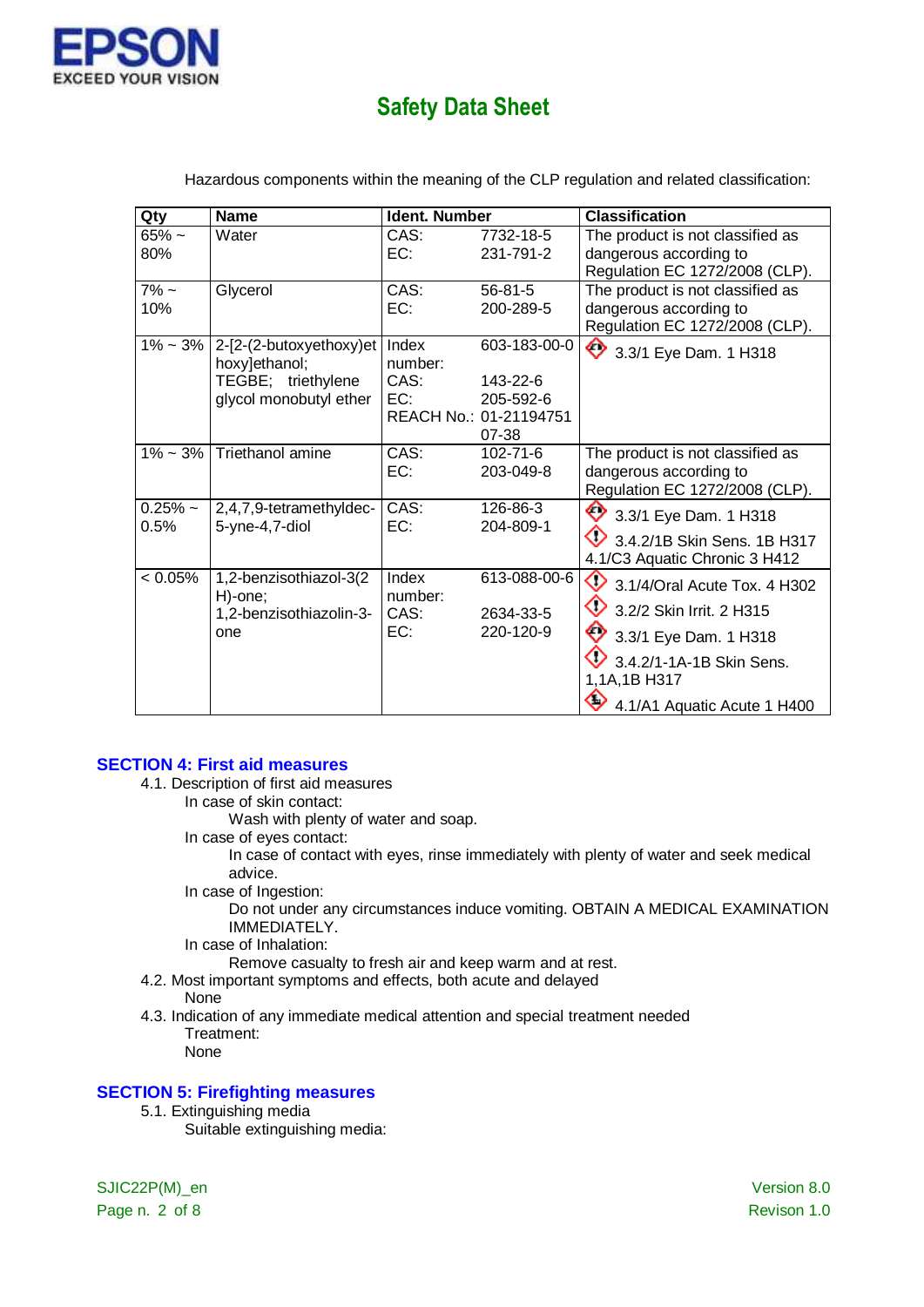

| Qty               | <b>Name</b>                                                                              | Ident. Number                   |                                                                          | <b>Classification</b>                                                                                                                                                                     |
|-------------------|------------------------------------------------------------------------------------------|---------------------------------|--------------------------------------------------------------------------|-------------------------------------------------------------------------------------------------------------------------------------------------------------------------------------------|
| $65%$ ~<br>80%    | Water                                                                                    | CAS:<br>EC:                     | 7732-18-5<br>231-791-2                                                   | The product is not classified as<br>dangerous according to                                                                                                                                |
|                   |                                                                                          |                                 |                                                                          | Regulation EC 1272/2008 (CLP).                                                                                                                                                            |
| $7\%$ ~<br>10%    | Glycerol                                                                                 | CAS:<br>EC:                     | 56-81-5<br>200-289-5                                                     | The product is not classified as<br>dangerous according to                                                                                                                                |
| $1\% - 3\%$       | 2-[2-(2-butoxyethoxy)et<br>hoxy]ethanol;<br>TEGBE; triethylene<br>glycol monobutyl ether | Index<br>number:<br>CAS:<br>EC: | 603-183-00-0<br>143-22-6<br>205-592-6<br>REACH No.: 01-21194751<br>07-38 | Regulation EC 1272/2008 (CLP).<br>3.3/1 Eye Dam. 1 H318                                                                                                                                   |
|                   | $1\% \sim 3\%$ Triethanol amine                                                          | CAS:<br>EC:                     | $102 - 71 - 6$<br>203-049-8                                              | The product is not classified as<br>dangerous according to<br>Regulation EC 1272/2008 (CLP).                                                                                              |
| $0.25%$ ~<br>0.5% | 2,4,7,9-tetramethyldec-<br>5-yne-4,7-diol                                                | CAS:<br>EC:                     | 126-86-3<br>204-809-1                                                    | 3.3/1 Eye Dam. 1 H318<br>$\bigcirc$ 3.4.2/1B Skin Sens. 1B H317<br>4.1/C3 Aquatic Chronic 3 H412                                                                                          |
| $< 0.05\%$        | 1,2-benzisothiazol-3(2<br>H)-one;<br>1,2-benzisothiazolin-3-<br>one                      | Index<br>number:<br>CAS:<br>EC: | 613-088-00-6<br>2634-33-5<br>220-120-9                                   | $\bigcirc$ 3.1/4/Oral Acute Tox. 4 H302<br>♦<br>3.2/2 Skin Irrit. 2 H315<br>$\bigotimes$ 3.3/1 Eye Dam. 1 H318<br>3.4.2/1-1A-1B Skin Sens.<br>1,1A,1B H317<br>4.1/A1 Aquatic Acute 1 H400 |

Hazardous components within the meaning of the CLP regulation and related classification:

#### **SECTION 4: First aid measures**

- 4.1. Description of first aid measures
	- In case of skin contact:
		- Wash with plenty of water and soap.
	- In case of eyes contact:

In case of contact with eyes, rinse immediately with plenty of water and seek medical advice.

In case of Ingestion:

Do not under any circumstances induce vomiting. OBTAIN A MEDICAL EXAMINATION IMMEDIATELY.

In case of Inhalation:

Remove casualty to fresh air and keep warm and at rest.

- 4.2. Most important symptoms and effects, both acute and delayed
- None
- 4.3. Indication of any immediate medical attention and special treatment needed Treatment: None

#### **SECTION 5: Firefighting measures**

5.1. Extinguishing media

Suitable extinguishing media:

SJIC22P(M)\_en Version 8.0 Page n. 2 of 8 Revison 1.0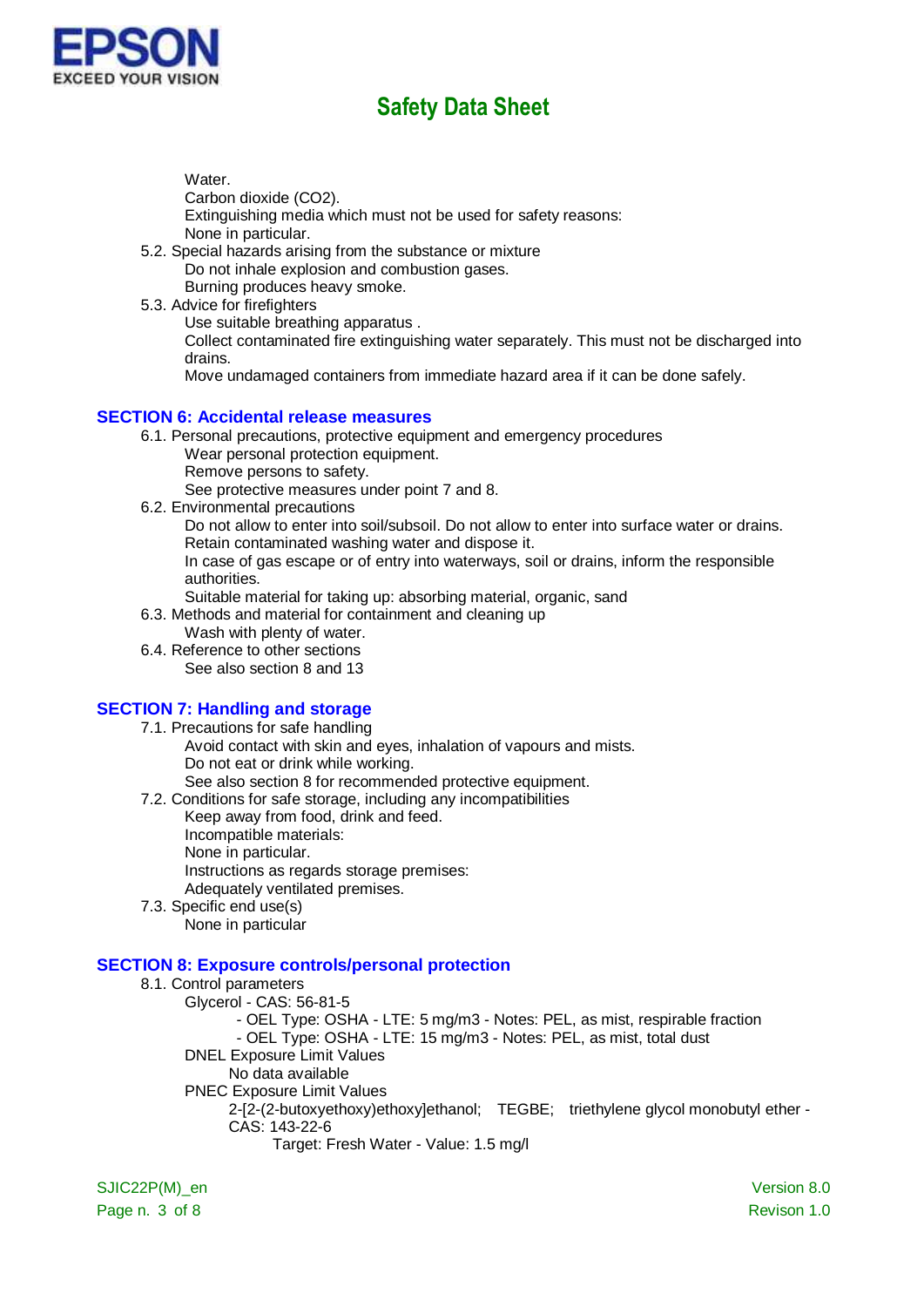

Water.

Carbon dioxide (CO2).

Extinguishing media which must not be used for safety reasons: None in particular.

- 5.2. Special hazards arising from the substance or mixture Do not inhale explosion and combustion gases. Burning produces heavy smoke.
- 5.3. Advice for firefighters

Use suitable breathing apparatus .

Collect contaminated fire extinguishing water separately. This must not be discharged into drains.

Move undamaged containers from immediate hazard area if it can be done safely.

#### **SECTION 6: Accidental release measures**

- 6.1. Personal precautions, protective equipment and emergency procedures
	- Wear personal protection equipment.
	- Remove persons to safety.

See protective measures under point 7 and 8.

6.2. Environmental precautions

Do not allow to enter into soil/subsoil. Do not allow to enter into surface water or drains. Retain contaminated washing water and dispose it.

In case of gas escape or of entry into waterways, soil or drains, inform the responsible authorities.

Suitable material for taking up: absorbing material, organic, sand

- 6.3. Methods and material for containment and cleaning up
	- Wash with plenty of water.
- 6.4. Reference to other sections See also section 8 and 13

### **SECTION 7: Handling and storage**

- 7.1. Precautions for safe handling Avoid contact with skin and eyes, inhalation of vapours and mists. Do not eat or drink while working. See also section 8 for recommended protective equipment.
- 7.2. Conditions for safe storage, including any incompatibilities
	- Keep away from food, drink and feed.
	- Incompatible materials:
	- None in particular.

Instructions as regards storage premises:

Adequately ventilated premises.

7.3. Specific end use(s) None in particular

### **SECTION 8: Exposure controls/personal protection**

8.1. Control parameters Glycerol - CAS: 56-81-5 - OEL Type: OSHA - LTE: 5 mg/m3 - Notes: PEL, as mist, respirable fraction - OEL Type: OSHA - LTE: 15 mg/m3 - Notes: PEL, as mist, total dust DNEL Exposure Limit Values No data available PNEC Exposure Limit Values 2-[2-(2-butoxyethoxy)ethoxy]ethanol; TEGBE; triethylene glycol monobutyl ether - CAS: 143-22-6 Target: Fresh Water - Value: 1.5 mg/l

SJIC22P(M)\_en Version 8.0 Page n. 3 of 8 Revison 1.0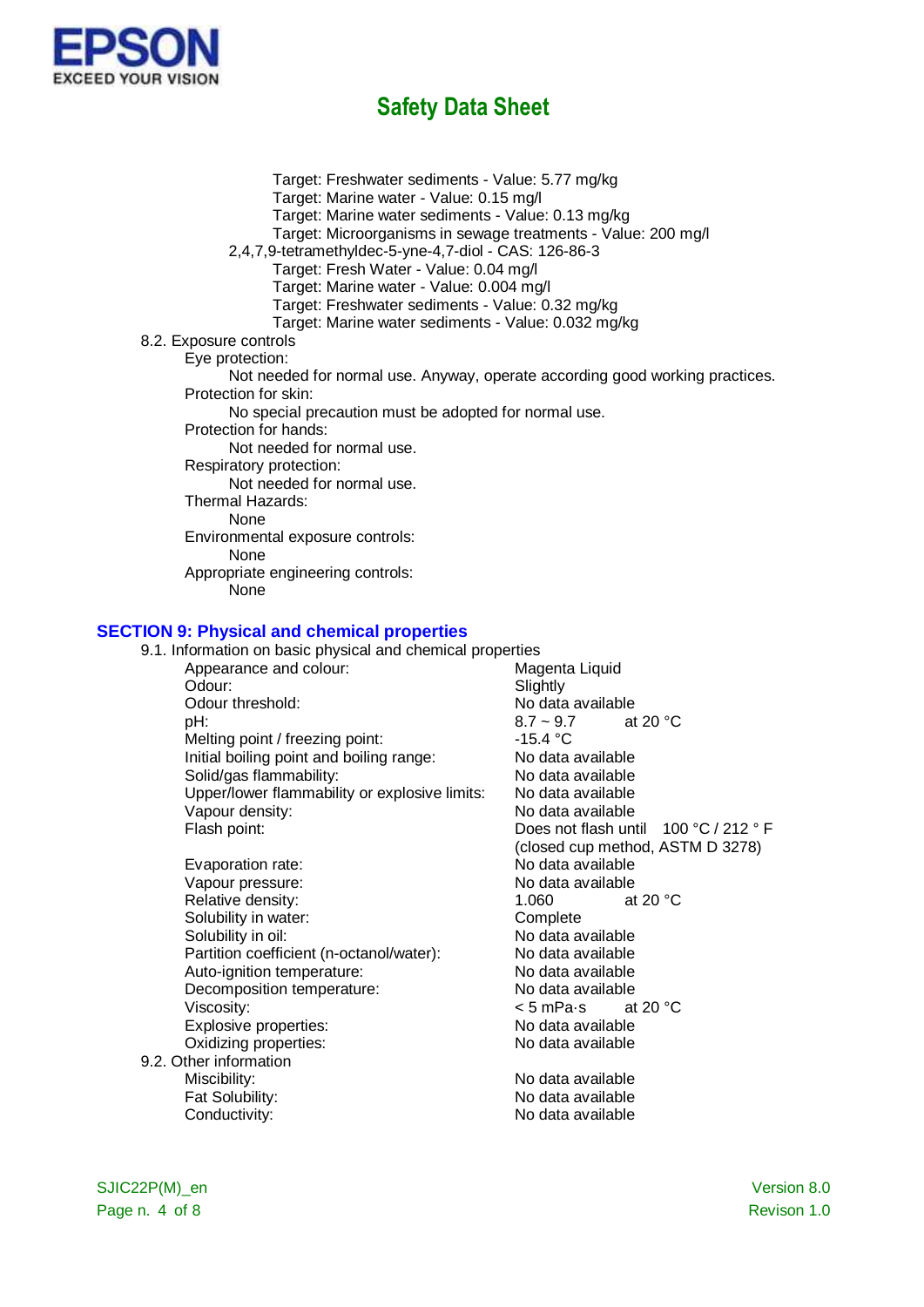

Target: Freshwater sediments - Value: 5.77 mg/kg Target: Marine water - Value: 0.15 mg/l Target: Marine water sediments - Value: 0.13 mg/kg Target: Microorganisms in sewage treatments - Value: 200 mg/l 2,4,7,9-tetramethyldec-5-yne-4,7-diol - CAS: 126-86-3 Target: Fresh Water - Value: 0.04 mg/l Target: Marine water - Value: 0.004 mg/l Target: Freshwater sediments - Value: 0.32 mg/kg Target: Marine water sediments - Value: 0.032 mg/kg 8.2. Exposure controls Eye protection: Not needed for normal use. Anyway, operate according good working practices. Protection for skin: No special precaution must be adopted for normal use. Protection for hands: Not needed for normal use. Respiratory protection: Not needed for normal use. Thermal Hazards: None Environmental exposure controls: None Appropriate engineering controls: None

### **SECTION 9: Physical and chemical properties**

| 9.1. Information on basic physical and chemical properties |                                       |
|------------------------------------------------------------|---------------------------------------|
| Appearance and colour:                                     | Magenta Liquid                        |
| Odour:                                                     | Slightly                              |
| Odour threshold:                                           | No data available                     |
| pH:                                                        | at 20 $\degree$ C<br>$8.7 \sim 9.7$   |
| Melting point / freezing point:                            | -15.4 $^{\circ}$ C                    |
| Initial boiling point and boiling range:                   | No data available                     |
| Solid/gas flammability:                                    | No data available                     |
| Upper/lower flammability or explosive limits:              | No data available                     |
| Vapour density:                                            | No data available                     |
| Flash point:                                               | Does not flash until 100 °C / 212 ° F |
|                                                            | (closed cup method, ASTM D 3278)      |
| Evaporation rate:                                          | No data available                     |
| Vapour pressure:                                           | No data available                     |
| Relative density:                                          | at 20 $\degree$ C<br>1.060            |
| Solubility in water:                                       | Complete                              |
| Solubility in oil:                                         | No data available                     |
| Partition coefficient (n-octanol/water):                   | No data available                     |
| Auto-ignition temperature:                                 | No data available                     |
| Decomposition temperature:                                 | No data available                     |
| Viscosity:                                                 | < 5 mPa∙s<br>at 20 $\degree$ C        |
| Explosive properties:                                      | No data available                     |
| Oxidizing properties:                                      | No data available                     |
| 9.2. Other information                                     |                                       |
| Miscibility:                                               | No data available                     |
| Fat Solubility:                                            | No data available                     |
| Conductivity:                                              | No data available                     |
|                                                            |                                       |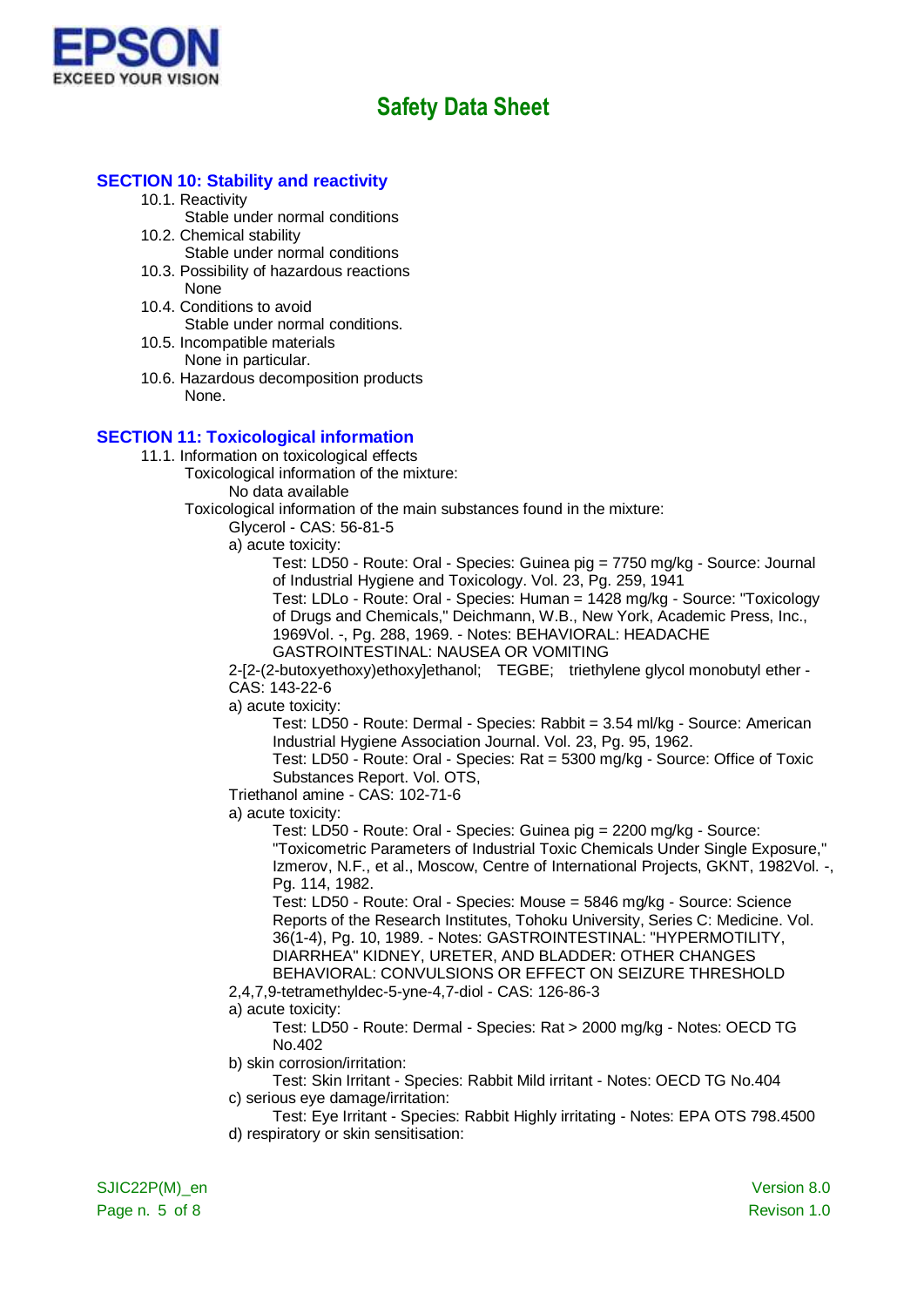

#### **SECTION 10: Stability and reactivity**

10.1. Reactivity

Stable under normal conditions

- 10.2. Chemical stability
	- Stable under normal conditions
- 10.3. Possibility of hazardous reactions None
- 10.4. Conditions to avoid Stable under normal conditions.
- 10.5. Incompatible materials None in particular.
- 10.6. Hazardous decomposition products None.

### **SECTION 11: Toxicological information**

11.1. Information on toxicological effects

Toxicological information of the mixture:

No data available

Toxicological information of the main substances found in the mixture:

Glycerol - CAS: 56-81-5

a) acute toxicity:

Test: LD50 - Route: Oral - Species: Guinea pig = 7750 mg/kg - Source: Journal of Industrial Hygiene and Toxicology. Vol. 23, Pg. 259, 1941

Test: LDLo - Route: Oral - Species: Human = 1428 mg/kg - Source: "Toxicology of Drugs and Chemicals," Deichmann, W.B., New York, Academic Press, Inc., 1969Vol. -, Pg. 288, 1969. - Notes: BEHAVIORAL: HEADACHE GASTROINTESTINAL: NAUSEA OR VOMITING

2-[2-(2-butoxyethoxy)ethoxy]ethanol; TEGBE; triethylene glycol monobutyl ether - CAS: 143-22-6

a) acute toxicity:

Test: LD50 - Route: Dermal - Species: Rabbit = 3.54 ml/kg - Source: American Industrial Hygiene Association Journal. Vol. 23, Pg. 95, 1962.

Test: LD50 - Route: Oral - Species: Rat = 5300 mg/kg - Source: Office of Toxic Substances Report. Vol. OTS,

Triethanol amine - CAS: 102-71-6

a) acute toxicity:

Test: LD50 - Route: Oral - Species: Guinea pig = 2200 mg/kg - Source: "Toxicometric Parameters of Industrial Toxic Chemicals Under Single Exposure," Izmerov, N.F., et al., Moscow, Centre of International Projects, GKNT, 1982Vol. -, Pg. 114, 1982.

Test: LD50 - Route: Oral - Species: Mouse = 5846 mg/kg - Source: Science Reports of the Research Institutes, Tohoku University, Series C: Medicine. Vol. 36(1-4), Pg. 10, 1989. - Notes: GASTROINTESTINAL: "HYPERMOTILITY, DIARRHEA" KIDNEY, URETER, AND BLADDER: OTHER CHANGES BEHAVIORAL: CONVULSIONS OR EFFECT ON SEIZURE THRESHOLD

2,4,7,9-tetramethyldec-5-yne-4,7-diol - CAS: 126-86-3

a) acute toxicity:

Test: LD50 - Route: Dermal - Species: Rat > 2000 mg/kg - Notes: OECD TG No.402

b) skin corrosion/irritation:

- Test: Skin Irritant Species: Rabbit Mild irritant Notes: OECD TG No.404 c) serious eye damage/irritation:
- Test: Eye Irritant Species: Rabbit Highly irritating Notes: EPA OTS 798.4500 d) respiratory or skin sensitisation: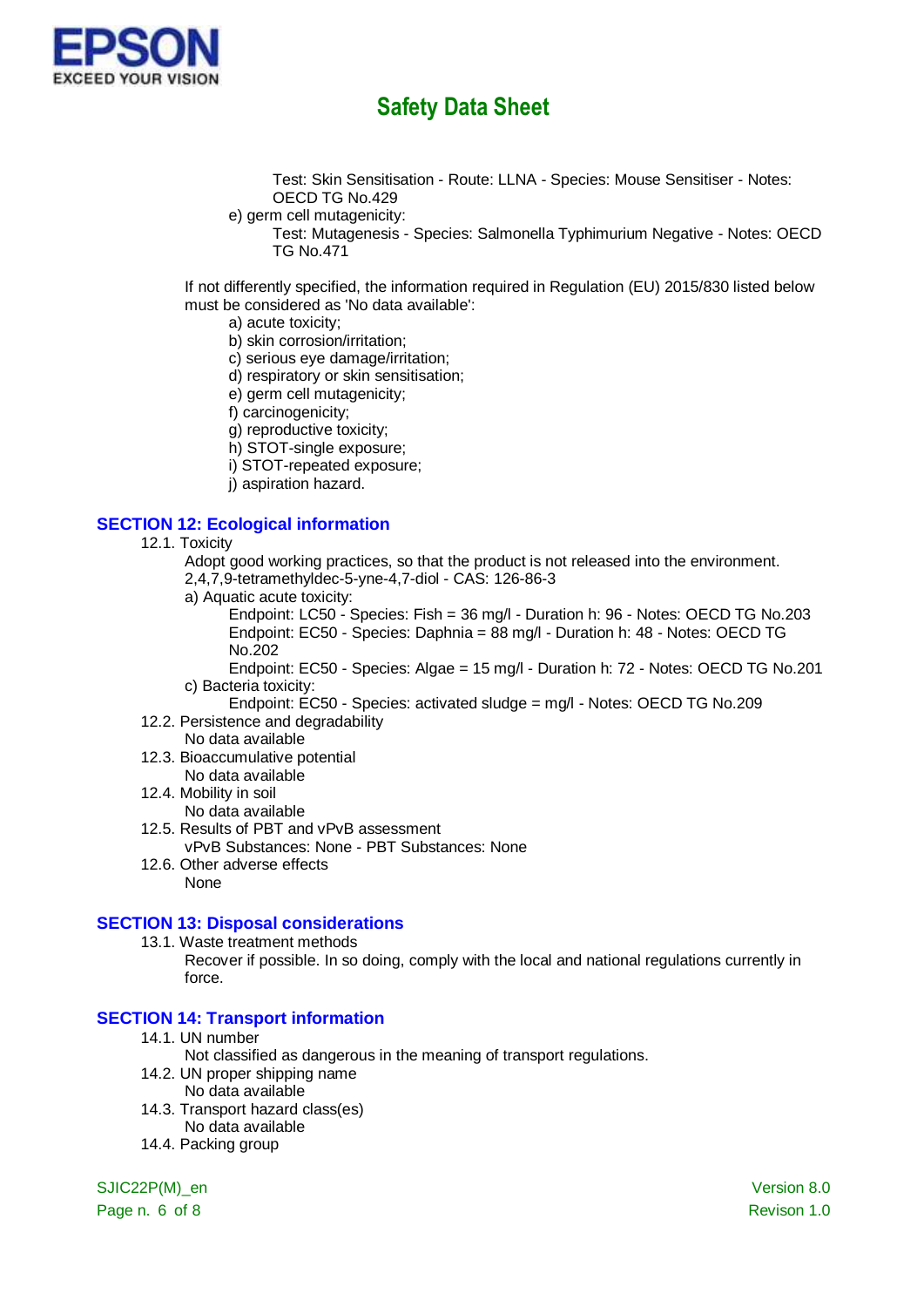

Test: Skin Sensitisation - Route: LLNA - Species: Mouse Sensitiser - Notes: OECD TG No.429

- e) germ cell mutagenicity:
	- Test: Mutagenesis Species: Salmonella Typhimurium Negative Notes: OECD TG No.471

If not differently specified, the information required in Regulation (EU) 2015/830 listed below must be considered as 'No data available':

- a) acute toxicity;
- b) skin corrosion/irritation;
- c) serious eye damage/irritation;
- d) respiratory or skin sensitisation;
- e) germ cell mutagenicity;
- f) carcinogenicity;
- g) reproductive toxicity;
- h) STOT-single exposure;
- i) STOT-repeated exposure;
- j) aspiration hazard.

#### **SECTION 12: Ecological information**

- 12.1. Toxicity
	- Adopt good working practices, so that the product is not released into the environment.
	- 2,4,7,9-tetramethyldec-5-yne-4,7-diol CAS: 126-86-3
	- a) Aquatic acute toxicity:

Endpoint: LC50 - Species: Fish = 36 mg/l - Duration h: 96 - Notes: OECD TG No.203 Endpoint: EC50 - Species: Daphnia = 88 mg/l - Duration h: 48 - Notes: OECD TG No.202

Endpoint: EC50 - Species: Algae = 15 mg/l - Duration h: 72 - Notes: OECD TG No.201 c) Bacteria toxicity:

- Endpoint: EC50 Species: activated sludge = mg/l Notes: OECD TG No.209 12.2. Persistence and degradability
- No data available
- 12.3. Bioaccumulative potential
- No data available
- 12.4. Mobility in soil
- No data available
- 12.5. Results of PBT and vPvB assessment vPvB Substances: None - PBT Substances: None
- 12.6. Other adverse effects None

#### **SECTION 13: Disposal considerations**

13.1. Waste treatment methods

Recover if possible. In so doing, comply with the local and national regulations currently in force.

### **SECTION 14: Transport information**

- 14.1. UN number
	- Not classified as dangerous in the meaning of transport regulations.
- 14.2. UN proper shipping name
	- No data available
- 14.3. Transport hazard class(es)
	- No data available
- 14.4. Packing group

SJIC22P(M)\_en Version 8.0

Page n. 6 of 8 Revison 1.0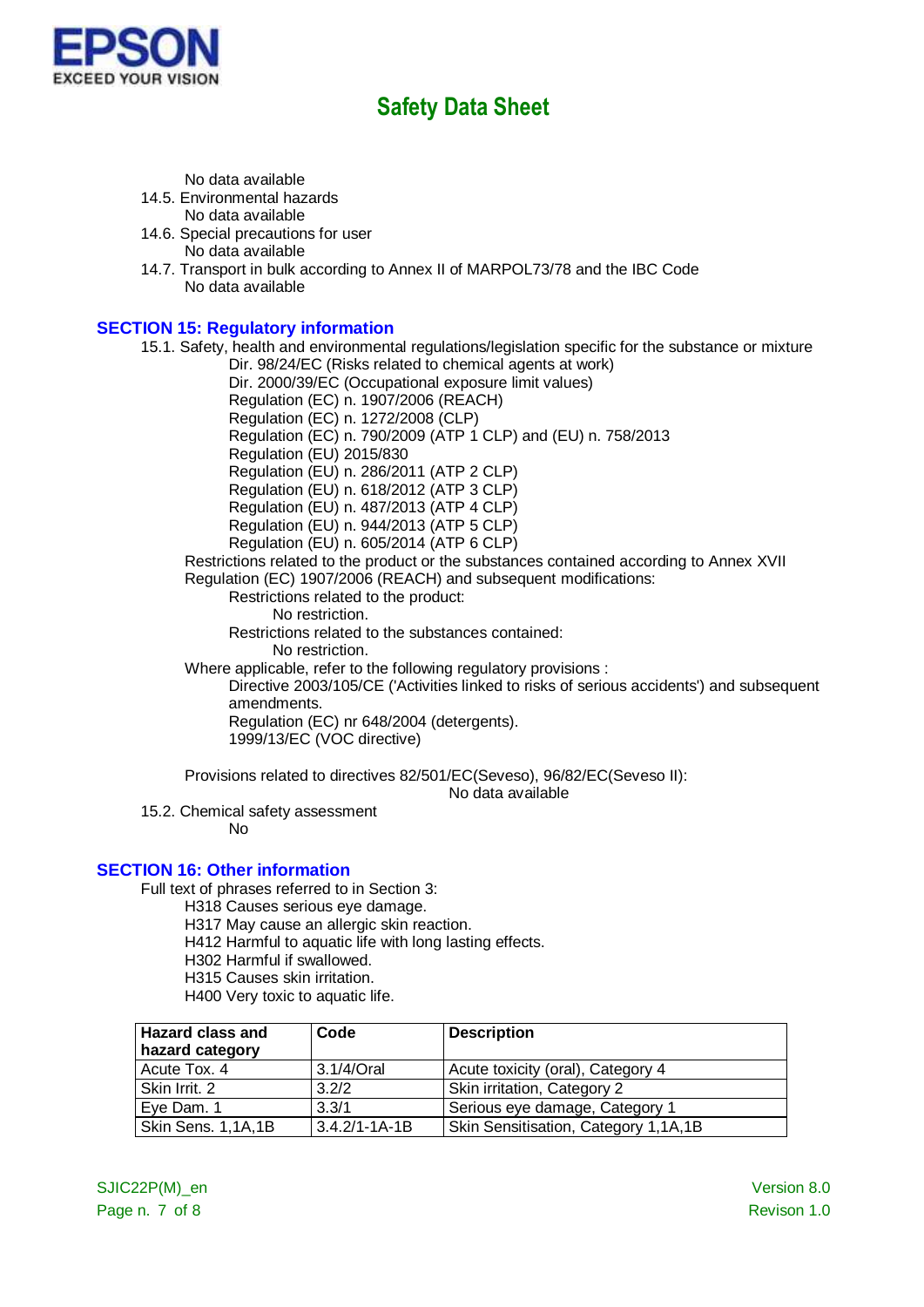

No data available

14.5. Environmental hazards

No data available

- 14.6. Special precautions for user No data available
- 14.7. Transport in bulk according to Annex II of MARPOL73/78 and the IBC Code No data available

### **SECTION 15: Regulatory information**

15.1. Safety, health and environmental regulations/legislation specific for the substance or mixture

Dir. 98/24/EC (Risks related to chemical agents at work)

Dir. 2000/39/EC (Occupational exposure limit values)

Regulation (EC) n. 1907/2006 (REACH) Regulation (EC) n. 1272/2008 (CLP)

Regulation (EC) n. 790/2009 (ATP 1 CLP) and (EU) n. 758/2013

Regulation (EU) 2015/830

Regulation (EU) n. 286/2011 (ATP 2 CLP)

Regulation (EU) n. 618/2012 (ATP 3 CLP)

Regulation (EU) n. 487/2013 (ATP 4 CLP)

Regulation (EU) n. 944/2013 (ATP 5 CLP)

Regulation (EU) n. 605/2014 (ATP 6 CLP)

Restrictions related to the product or the substances contained according to Annex XVII Regulation (EC) 1907/2006 (REACH) and subsequent modifications:

Restrictions related to the product:

No restriction.

Restrictions related to the substances contained:

No restriction.

Where applicable, refer to the following regulatory provisions :

Directive 2003/105/CE ('Activities linked to risks of serious accidents') and subsequent amendments.

Regulation (EC) nr 648/2004 (detergents). 1999/13/EC (VOC directive)

Provisions related to directives 82/501/EC(Seveso), 96/82/EC(Seveso II):

No data available

15.2. Chemical safety assessment

No

### **SECTION 16: Other information**

Full text of phrases referred to in Section 3:

- H318 Causes serious eye damage.
- H317 May cause an allergic skin reaction.
- H412 Harmful to aquatic life with long lasting effects.
- H302 Harmful if swallowed.
- H315 Causes skin irritation.

H400 Very toxic to aquatic life.

| <b>Hazard class and</b><br>hazard category | Code                | <b>Description</b>                   |
|--------------------------------------------|---------------------|--------------------------------------|
| Acute Tox. 4                               | 3.1/4/Oral          | Acute toxicity (oral), Category 4    |
| Skin Irrit. 2                              | 3.2/2               | Skin irritation, Category 2          |
| Eye Dam. 1                                 | 3.3/1               | Serious eye damage, Category 1       |
| Skin Sens. 1,1A,1B                         | $3.4.2/1 - 1A - 1B$ | Skin Sensitisation, Category 1,1A,1B |